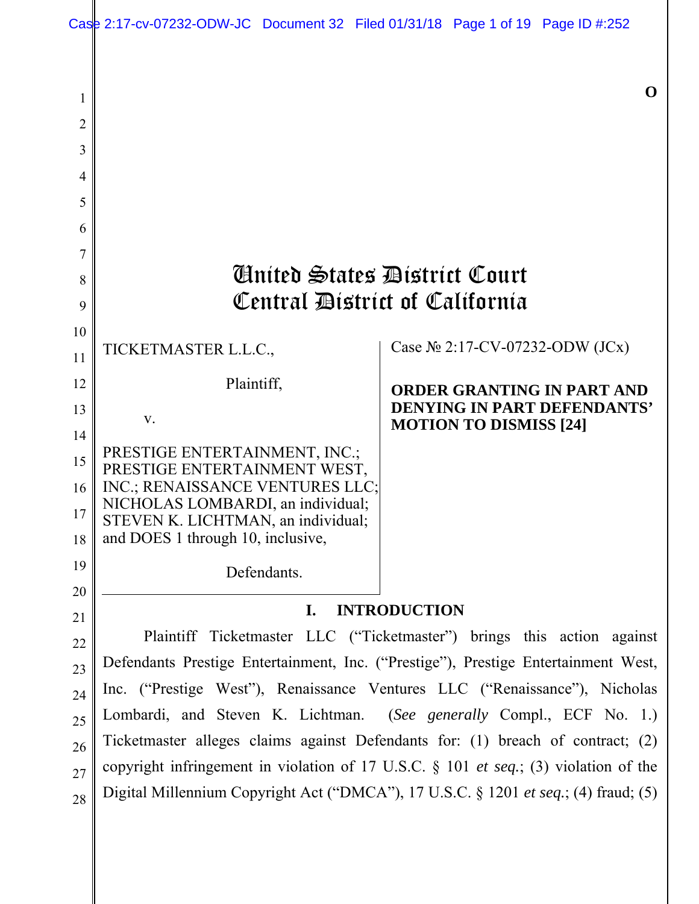|  |  | Case 2:17-cv-07232-ODW-JC Document 32 Filed 01/31/18 Page 1 of 19 Page ID #:252 |  |  |  |  |
|--|--|---------------------------------------------------------------------------------|--|--|--|--|
|--|--|---------------------------------------------------------------------------------|--|--|--|--|

|          |                                                                                      | $\Omega$                                                                |  |  |  |  |
|----------|--------------------------------------------------------------------------------------|-------------------------------------------------------------------------|--|--|--|--|
| 2        |                                                                                      |                                                                         |  |  |  |  |
| 3        |                                                                                      |                                                                         |  |  |  |  |
| 4        |                                                                                      |                                                                         |  |  |  |  |
| 5        |                                                                                      |                                                                         |  |  |  |  |
| 6        |                                                                                      |                                                                         |  |  |  |  |
| 7        |                                                                                      |                                                                         |  |  |  |  |
| 8        | Ginited States District Court<br>Central Bistrict of California                      |                                                                         |  |  |  |  |
| 9        |                                                                                      |                                                                         |  |  |  |  |
| 10       | TICKETMASTER L.L.C.,                                                                 | Case $N$ <sup>o</sup> 2:17-CV-07232-ODW (JCx)                           |  |  |  |  |
| 11       |                                                                                      |                                                                         |  |  |  |  |
| 12<br>13 | Plaintiff,                                                                           | <b>ORDER GRANTING IN PART AND</b><br><b>DENYING IN PART DEFENDANTS'</b> |  |  |  |  |
| 14       | V.                                                                                   | <b>MOTION TO DISMISS [24]</b>                                           |  |  |  |  |
| 15       | PRESTIGE ENTERTAINMENT, INC.;                                                        |                                                                         |  |  |  |  |
| 16       | PRESTIGE ENTERTAINMENT WEST,<br>INC.; RENAISSANCE VENTURES LLC;                      |                                                                         |  |  |  |  |
| 17       | NICHOLAS LOMBARDI, an individual;                                                    |                                                                         |  |  |  |  |
| 18       | STEVEN K. LICHTMAN, an individual;<br>and DOES 1 through 10, inclusive,              |                                                                         |  |  |  |  |
| 19       | Defendants.                                                                          |                                                                         |  |  |  |  |
| 20       |                                                                                      |                                                                         |  |  |  |  |
| 21       | I.<br><b>INTRODUCTION</b>                                                            |                                                                         |  |  |  |  |
| 22       | Plaintiff Ticketmaster LLC ("Ticketmaster") brings this action against               |                                                                         |  |  |  |  |
| 23       | Defendants Prestige Entertainment, Inc. ("Prestige"), Prestige Entertainment West,   |                                                                         |  |  |  |  |
| 24       | Inc. ("Prestige West"), Renaissance Ventures LLC ("Renaissance"), Nicholas           |                                                                         |  |  |  |  |
| 25       | Lombardi, and Steven K. Lichtman. (See generally Compl., ECF No. 1.)                 |                                                                         |  |  |  |  |
| 26       | Ticketmaster alleges claims against Defendants for: (1) breach of contract; (2)      |                                                                         |  |  |  |  |
| 27       | copyright infringement in violation of 17 U.S.C. § 101 et seq.; (3) violation of the |                                                                         |  |  |  |  |
| 28       | Digital Millennium Copyright Act ("DMCA"), 17 U.S.C. § 1201 et seq.; (4) fraud; (5)  |                                                                         |  |  |  |  |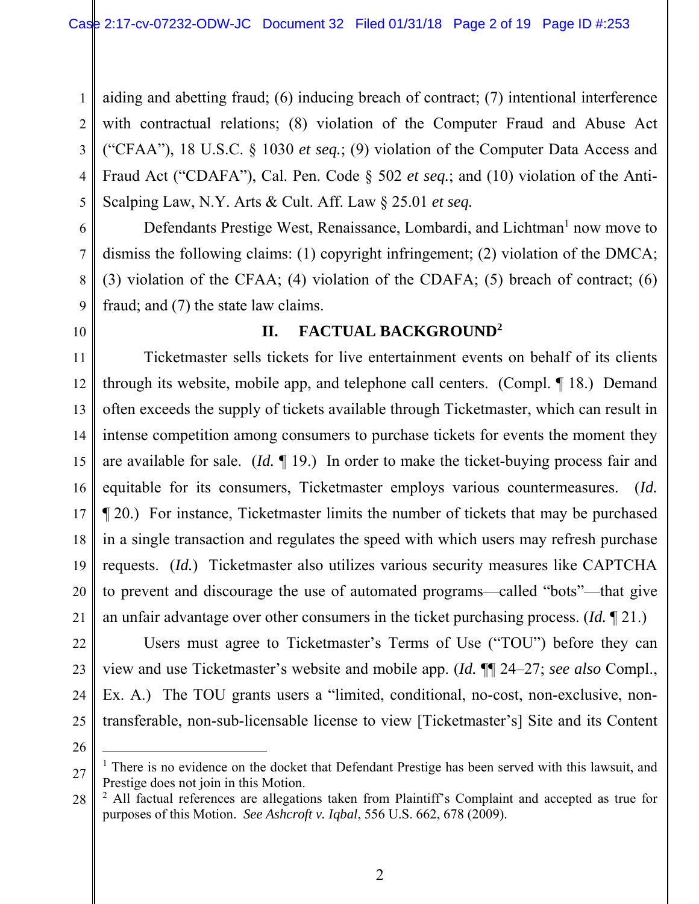3 4 5 aiding and abetting fraud; (6) inducing breach of contract; (7) intentional interference with contractual relations; (8) violation of the Computer Fraud and Abuse Act ("CFAA"), 18 U.S.C. § 1030 *et seq.*; (9) violation of the Computer Data Access and Fraud Act ("CDAFA"), Cal. Pen. Code § 502 *et seq.*; and (10) violation of the Anti-Scalping Law, N.Y. Arts & Cult. Aff. Law § 25.01 *et seq.*

Defendants Prestige West, Renaissance, Lombardi, and Lichtman<sup>1</sup> now move to dismiss the following claims: (1) copyright infringement; (2) violation of the DMCA; (3) violation of the CFAA; (4) violation of the CDAFA; (5) breach of contract; (6) fraud; and (7) the state law claims.

#### 10

1

2

6

7

8

9

# **II. FACTUAL BACKGROUND2**

11 12 13 14 15 16 17 18 19 20 21 Ticketmaster sells tickets for live entertainment events on behalf of its clients through its website, mobile app, and telephone call centers. (Compl. ¶ 18.) Demand often exceeds the supply of tickets available through Ticketmaster, which can result in intense competition among consumers to purchase tickets for events the moment they are available for sale. (*Id.* ¶ 19.) In order to make the ticket-buying process fair and equitable for its consumers, Ticketmaster employs various countermeasures. (*Id.* ¶ 20.) For instance, Ticketmaster limits the number of tickets that may be purchased in a single transaction and regulates the speed with which users may refresh purchase requests. (*Id.*) Ticketmaster also utilizes various security measures like CAPTCHA to prevent and discourage the use of automated programs—called "bots"—that give an unfair advantage over other consumers in the ticket purchasing process. (*Id.* ¶ 21.)

Users must agree to Ticketmaster's Terms of Use ("TOU") before they can view and use Ticketmaster's website and mobile app. (*Id.* ¶¶ 24–27; *see also* Compl., Ex. A.) The TOU grants users a "limited, conditional, no-cost, non-exclusive, nontransferable, non-sub-licensable license to view [Ticketmaster's] Site and its Content

26

 $\overline{a}$ 

25

22

23

<sup>27</sup> <sup>1</sup> There is no evidence on the docket that Defendant Prestige has been served with this lawsuit, and Prestige does not join in this Motion.

<sup>28</sup> <sup>2</sup> All factual references are allegations taken from Plaintiff's Complaint and accepted as true for purposes of this Motion. *See Ashcroft v. Iqbal*, 556 U.S. 662, 678 (2009).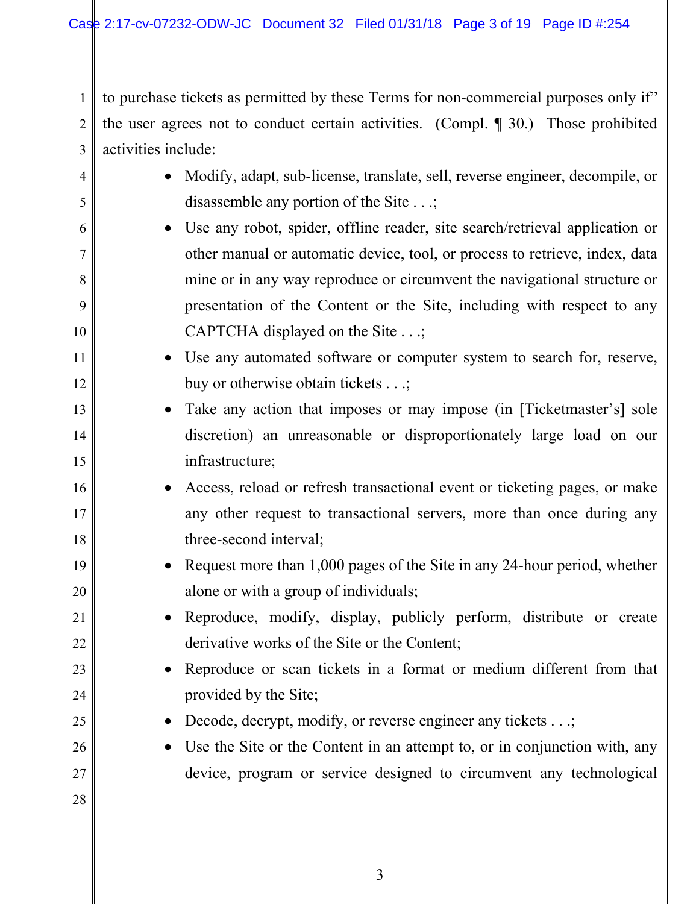1 2 3 to purchase tickets as permitted by these Terms for non-commercial purposes only if" the user agrees not to conduct certain activities. (Compl. ¶ 30.) Those prohibited activities include:

- 4 5 6 7 8 9 10 11 12 13 14 Modify, adapt, sub-license, translate, sell, reverse engineer, decompile, or disassemble any portion of the Site . . .; Use any robot, spider, offline reader, site search/retrieval application or other manual or automatic device, tool, or process to retrieve, index, data mine or in any way reproduce or circumvent the navigational structure or presentation of the Content or the Site, including with respect to any CAPTCHA displayed on the Site . . .; Use any automated software or computer system to search for, reserve, buy or otherwise obtain tickets . . .; • Take any action that imposes or may impose (in [Ticketmaster's] sole
	- discretion) an unreasonable or disproportionately large load on our infrastructure; Access, reload or refresh transactional event or ticketing pages, or make

15

16

17

18

19

20

21

22

23

24

25

26

27

- any other request to transactional servers, more than once during any three-second interval;
	- Request more than 1,000 pages of the Site in any 24-hour period, whether alone or with a group of individuals;
	- Reproduce, modify, display, publicly perform, distribute or create derivative works of the Site or the Content;
	- Reproduce or scan tickets in a format or medium different from that provided by the Site;
		- Decode, decrypt, modify, or reverse engineer any tickets . . .;
	- Use the Site or the Content in an attempt to, or in conjunction with, any device, program or service designed to circumvent any technological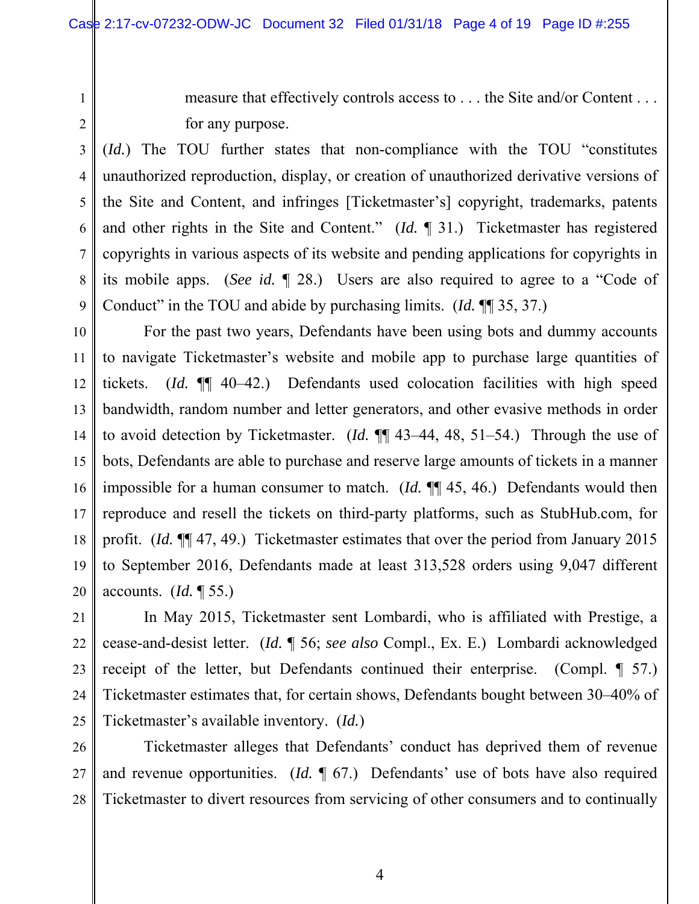2 3

4

5

6

7

8

9

1

measure that effectively controls access to . . . the Site and/or Content . . . for any purpose.

(*Id.*) The TOU further states that non-compliance with the TOU "constitutes unauthorized reproduction, display, or creation of unauthorized derivative versions of the Site and Content, and infringes [Ticketmaster's] copyright, trademarks, patents and other rights in the Site and Content." (*Id.* ¶ 31.) Ticketmaster has registered copyrights in various aspects of its website and pending applications for copyrights in its mobile apps. (*See id.* ¶ 28.) Users are also required to agree to a "Code of Conduct" in the TOU and abide by purchasing limits. (*Id.* ¶¶ 35, 37.)

10 11 12 13 14 15 16 17 18 19 20 For the past two years, Defendants have been using bots and dummy accounts to navigate Ticketmaster's website and mobile app to purchase large quantities of tickets. (*Id.* ¶¶ 40–42.) Defendants used colocation facilities with high speed bandwidth, random number and letter generators, and other evasive methods in order to avoid detection by Ticketmaster. (*Id.* ¶¶ 43–44, 48, 51–54.) Through the use of bots, Defendants are able to purchase and reserve large amounts of tickets in a manner impossible for a human consumer to match. (*Id.* ¶¶ 45, 46.) Defendants would then reproduce and resell the tickets on third-party platforms, such as StubHub.com, for profit. (*Id.* ¶¶ 47, 49.) Ticketmaster estimates that over the period from January 2015 to September 2016, Defendants made at least 313,528 orders using 9,047 different accounts. (*Id.* ¶ 55.)

21 22 23 24 25 In May 2015, Ticketmaster sent Lombardi, who is affiliated with Prestige, a cease-and-desist letter. (*Id.* ¶ 56; *see also* Compl., Ex. E.) Lombardi acknowledged receipt of the letter, but Defendants continued their enterprise. (Compl. ¶ 57.) Ticketmaster estimates that, for certain shows, Defendants bought between 30–40% of Ticketmaster's available inventory. (*Id.*)

26 27 28 Ticketmaster alleges that Defendants' conduct has deprived them of revenue and revenue opportunities. (*Id.* ¶ 67.) Defendants' use of bots have also required Ticketmaster to divert resources from servicing of other consumers and to continually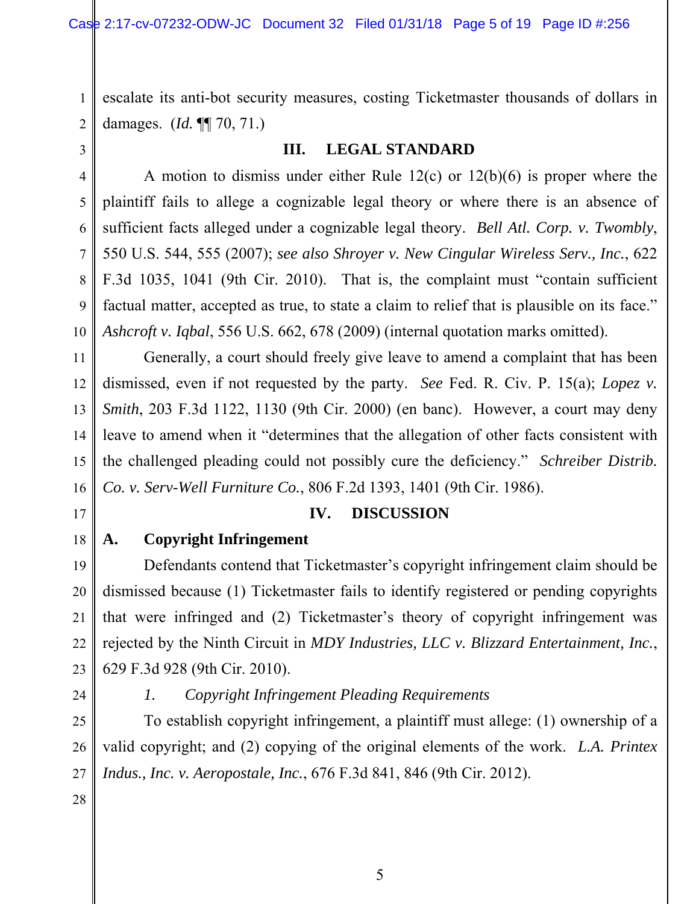escalate its anti-bot security measures, costing Ticketmaster thousands of dollars in damages. (*Id.* ¶¶ 70, 71.)

3

4

5

6

7

8

9

10

11

12

13

14

15

16

17

19

20

21

22

1

2

### **III. LEGAL STANDARD**

A motion to dismiss under either Rule 12(c) or 12(b)(6) is proper where the plaintiff fails to allege a cognizable legal theory or where there is an absence of sufficient facts alleged under a cognizable legal theory. *Bell Atl. Corp. v. Twombly*, 550 U.S. 544, 555 (2007); *see also Shroyer v. New Cingular Wireless Serv., Inc.*, 622 F.3d 1035, 1041 (9th Cir. 2010). That is, the complaint must "contain sufficient factual matter, accepted as true, to state a claim to relief that is plausible on its face." *Ashcroft v. Iqbal*, 556 U.S. 662, 678 (2009) (internal quotation marks omitted).

Generally, a court should freely give leave to amend a complaint that has been dismissed, even if not requested by the party. *See* Fed. R. Civ. P. 15(a); *Lopez v. Smith*, 203 F.3d 1122, 1130 (9th Cir. 2000) (en banc). However, a court may deny leave to amend when it "determines that the allegation of other facts consistent with the challenged pleading could not possibly cure the deficiency." *Schreiber Distrib. Co. v. Serv-Well Furniture Co.*, 806 F.2d 1393, 1401 (9th Cir. 1986).

#### **IV. DISCUSSION**

18

# **A. Copyright Infringement**

Defendants contend that Ticketmaster's copyright infringement claim should be dismissed because (1) Ticketmaster fails to identify registered or pending copyrights that were infringed and (2) Ticketmaster's theory of copyright infringement was rejected by the Ninth Circuit in *MDY Industries, LLC v. Blizzard Entertainment, Inc.*, 629 F.3d 928 (9th Cir. 2010).

24

25

23

#### *1. Copyright Infringement Pleading Requirements*

To establish copyright infringement, a plaintiff must allege: (1) ownership of a valid copyright; and (2) copying of the original elements of the work. *L.A. Printex Indus., Inc. v. Aeropostale, Inc.*, 676 F.3d 841, 846 (9th Cir. 2012).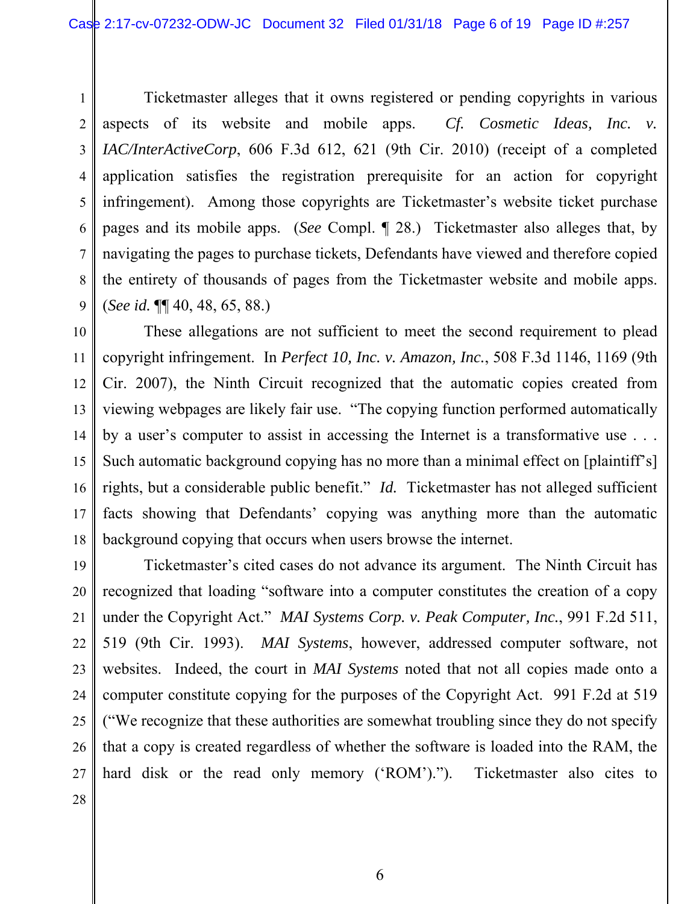5 7 9 Ticketmaster alleges that it owns registered or pending copyrights in various aspects of its website and mobile apps. *Cf. Cosmetic Ideas, Inc. v. IAC/InterActiveCorp*, 606 F.3d 612, 621 (9th Cir. 2010) (receipt of a completed application satisfies the registration prerequisite for an action for copyright infringement). Among those copyrights are Ticketmaster's website ticket purchase pages and its mobile apps. (*See* Compl. ¶ 28.) Ticketmaster also alleges that, by navigating the pages to purchase tickets, Defendants have viewed and therefore copied the entirety of thousands of pages from the Ticketmaster website and mobile apps. (*See id.* ¶¶ 40, 48, 65, 88.)

10 12 13 14 15 16 17 18 These allegations are not sufficient to meet the second requirement to plead copyright infringement. In *Perfect 10, Inc. v. Amazon, Inc.*, 508 F.3d 1146, 1169 (9th Cir. 2007), the Ninth Circuit recognized that the automatic copies created from viewing webpages are likely fair use. "The copying function performed automatically by a user's computer to assist in accessing the Internet is a transformative use . . . Such automatic background copying has no more than a minimal effect on [plaintiff's] rights, but a considerable public benefit." *Id.* Ticketmaster has not alleged sufficient facts showing that Defendants' copying was anything more than the automatic background copying that occurs when users browse the internet.

19 20 21 22 23 24 25 26 27 Ticketmaster's cited cases do not advance its argument. The Ninth Circuit has recognized that loading "software into a computer constitutes the creation of a copy under the Copyright Act." *MAI Systems Corp. v. Peak Computer, Inc.*, 991 F.2d 511, 519 (9th Cir. 1993). *MAI Systems*, however, addressed computer software, not websites. Indeed, the court in *MAI Systems* noted that not all copies made onto a computer constitute copying for the purposes of the Copyright Act. 991 F.2d at 519 ("We recognize that these authorities are somewhat troubling since they do not specify that a copy is created regardless of whether the software is loaded into the RAM, the hard disk or the read only memory ('ROM')."). Ticketmaster also cites to

1

2

3

4

6

8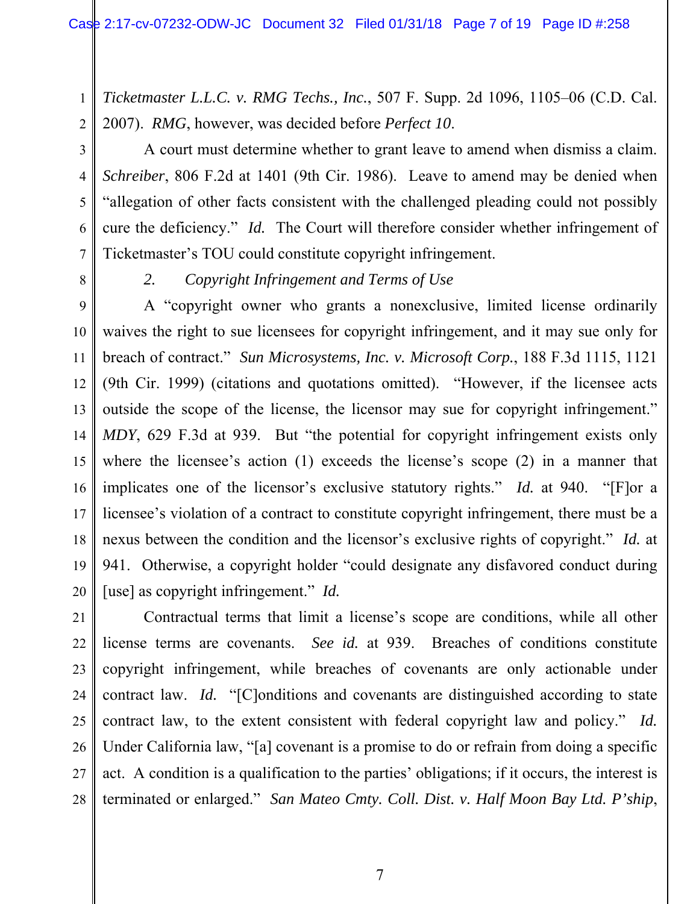*Ticketmaster L.L.C. v. RMG Techs., Inc.*, 507 F. Supp. 2d 1096, 1105–06 (C.D. Cal. 2007). *RMG*, however, was decided before *Perfect 10*.

1

2

3

4

5

6

7

8

A court must determine whether to grant leave to amend when dismiss a claim. *Schreiber*, 806 F.2d at 1401 (9th Cir. 1986). Leave to amend may be denied when "allegation of other facts consistent with the challenged pleading could not possibly cure the deficiency." *Id.* The Court will therefore consider whether infringement of Ticketmaster's TOU could constitute copyright infringement.

#### *2. Copyright Infringement and Terms of Use*

9 10 11 12 13 14 15 16 17 18 19 20 A "copyright owner who grants a nonexclusive, limited license ordinarily waives the right to sue licensees for copyright infringement, and it may sue only for breach of contract." *Sun Microsystems, Inc. v. Microsoft Corp.*, 188 F.3d 1115, 1121 (9th Cir. 1999) (citations and quotations omitted). "However, if the licensee acts outside the scope of the license, the licensor may sue for copyright infringement." *MDY*, 629 F.3d at 939. But "the potential for copyright infringement exists only where the licensee's action (1) exceeds the license's scope (2) in a manner that implicates one of the licensor's exclusive statutory rights." *Id.* at 940. "[F]or a licensee's violation of a contract to constitute copyright infringement, there must be a nexus between the condition and the licensor's exclusive rights of copyright." *Id.* at 941. Otherwise, a copyright holder "could designate any disfavored conduct during [use] as copyright infringement." *Id.*

21 22 23 24 25 26 27 28 Contractual terms that limit a license's scope are conditions, while all other license terms are covenants. *See id.* at 939. Breaches of conditions constitute copyright infringement, while breaches of covenants are only actionable under contract law. *Id.* "[C]onditions and covenants are distinguished according to state contract law, to the extent consistent with federal copyright law and policy." *Id.* Under California law, "[a] covenant is a promise to do or refrain from doing a specific act. A condition is a qualification to the parties' obligations; if it occurs, the interest is terminated or enlarged." *San Mateo Cmty. Coll. Dist. v. Half Moon Bay Ltd. P'ship*,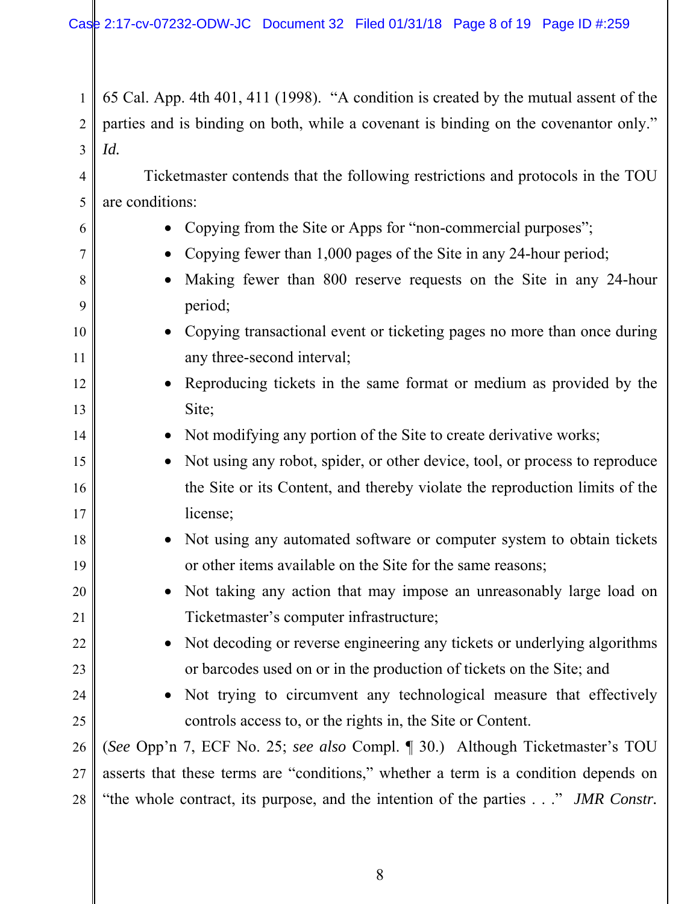1 2 3 65 Cal. App. 4th 401, 411 (1998). "A condition is created by the mutual assent of the parties and is binding on both, while a covenant is binding on the covenantor only." *Id.*

4 5 Ticketmaster contends that the following restrictions and protocols in the TOU are conditions:

6 7 8 9 10 11 12 13 14 15 16 17 18 19 20 21 22 23 24 25 26 27 28 • Copying from the Site or Apps for "non-commercial purposes"; • Copying fewer than 1,000 pages of the Site in any 24-hour period; • Making fewer than 800 reserve requests on the Site in any 24-hour period; Copying transactional event or ticketing pages no more than once during any three-second interval; • Reproducing tickets in the same format or medium as provided by the Site; • Not modifying any portion of the Site to create derivative works; • Not using any robot, spider, or other device, tool, or process to reproduce the Site or its Content, and thereby violate the reproduction limits of the license; • Not using any automated software or computer system to obtain tickets or other items available on the Site for the same reasons; • Not taking any action that may impose an unreasonably large load on Ticketmaster's computer infrastructure; • Not decoding or reverse engineering any tickets or underlying algorithms or barcodes used on or in the production of tickets on the Site; and • Not trying to circumvent any technological measure that effectively controls access to, or the rights in, the Site or Content. (*See* Opp'n 7, ECF No. 25; *see also* Compl. ¶ 30.) Although Ticketmaster's TOU asserts that these terms are "conditions," whether a term is a condition depends on "the whole contract, its purpose, and the intention of the parties . . ." *JMR Constr.*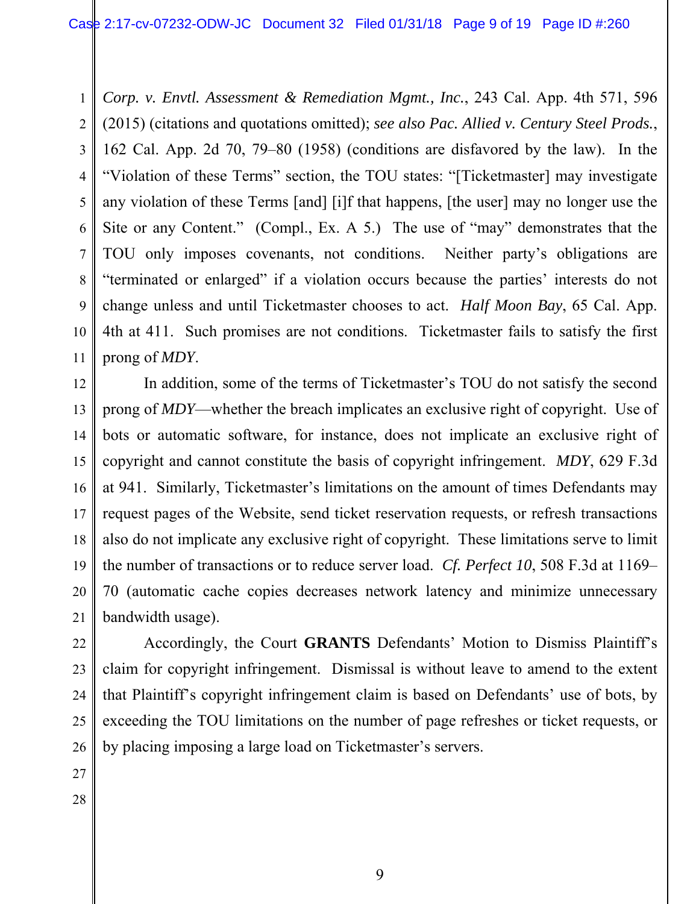1 3 4 5 6 7 8 9 10 *Corp. v. Envtl. Assessment & Remediation Mgmt., Inc.*, 243 Cal. App. 4th 571, 596 (2015) (citations and quotations omitted); *see also Pac. Allied v. Century Steel Prods.*, 162 Cal. App. 2d 70, 79–80 (1958) (conditions are disfavored by the law). In the "Violation of these Terms" section, the TOU states: "[Ticketmaster] may investigate any violation of these Terms [and] [i]f that happens, [the user] may no longer use the Site or any Content." (Compl., Ex. A 5.) The use of "may" demonstrates that the TOU only imposes covenants, not conditions. Neither party's obligations are "terminated or enlarged" if a violation occurs because the parties' interests do not change unless and until Ticketmaster chooses to act. *Half Moon Bay*, 65 Cal. App. 4th at 411. Such promises are not conditions. Ticketmaster fails to satisfy the first prong of *MDY*.

12 13 14 15 In addition, some of the terms of Ticketmaster's TOU do not satisfy the second prong of *MDY*—whether the breach implicates an exclusive right of copyright. Use of bots or automatic software, for instance, does not implicate an exclusive right of copyright and cannot constitute the basis of copyright infringement. *MDY*, 629 F.3d at 941. Similarly, Ticketmaster's limitations on the amount of times Defendants may request pages of the Website, send ticket reservation requests, or refresh transactions also do not implicate any exclusive right of copyright. These limitations serve to limit the number of transactions or to reduce server load. *Cf. Perfect 10*, 508 F.3d at 1169– 70 (automatic cache copies decreases network latency and minimize unnecessary bandwidth usage).

Accordingly, the Court **GRANTS** Defendants' Motion to Dismiss Plaintiff's claim for copyright infringement. Dismissal is without leave to amend to the extent that Plaintiff's copyright infringement claim is based on Defendants' use of bots, by exceeding the TOU limitations on the number of page refreshes or ticket requests, or by placing imposing a large load on Ticketmaster's servers.

2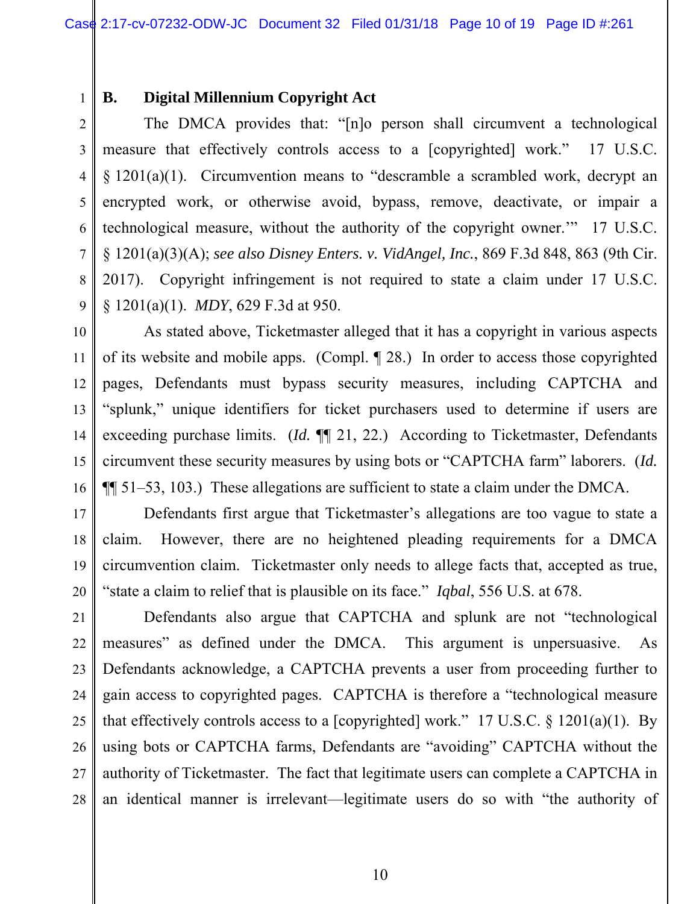# 2 3

4

5

1

# **B. Digital Millennium Copyright Act**

The DMCA provides that: "[n]o person shall circumvent a technological measure that effectively controls access to a [copyrighted] work." 17 U.S.C. § 1201(a)(1). Circumvention means to "descramble a scrambled work, decrypt an encrypted work, or otherwise avoid, bypass, remove, deactivate, or impair a technological measure, without the authority of the copyright owner.'" 17 U.S.C. § 1201(a)(3)(A); *see also Disney Enters. v. VidAngel, Inc.*, 869 F.3d 848, 863 (9th Cir. 2017). Copyright infringement is not required to state a claim under 17 U.S.C. § 1201(a)(1). *MDY*, 629 F.3d at 950.

As stated above, Ticketmaster alleged that it has a copyright in various aspects of its website and mobile apps. (Compl. ¶ 28.) In order to access those copyrighted pages, Defendants must bypass security measures, including CAPTCHA and "splunk," unique identifiers for ticket purchasers used to determine if users are exceeding purchase limits. (*Id.* ¶ 21, 22.) According to Ticketmaster, Defendants circumvent these security measures by using bots or "CAPTCHA farm" laborers. (*Id.* ¶¶ 51–53, 103.) These allegations are sufficient to state a claim under the DMCA.

Defendants first argue that Ticketmaster's allegations are too vague to state a claim. However, there are no heightened pleading requirements for a DMCA circumvention claim. Ticketmaster only needs to allege facts that, accepted as true, "state a claim to relief that is plausible on its face." *Iqbal*, 556 U.S. at 678.

28 Defendants also argue that CAPTCHA and splunk are not "technological measures" as defined under the DMCA. This argument is unpersuasive. As Defendants acknowledge, a CAPTCHA prevents a user from proceeding further to gain access to copyrighted pages. CAPTCHA is therefore a "technological measure that effectively controls access to a [copyrighted] work." 17 U.S.C.  $\S$  1201(a)(1). By using bots or CAPTCHA farms, Defendants are "avoiding" CAPTCHA without the authority of Ticketmaster. The fact that legitimate users can complete a CAPTCHA in an identical manner is irrelevant—legitimate users do so with "the authority of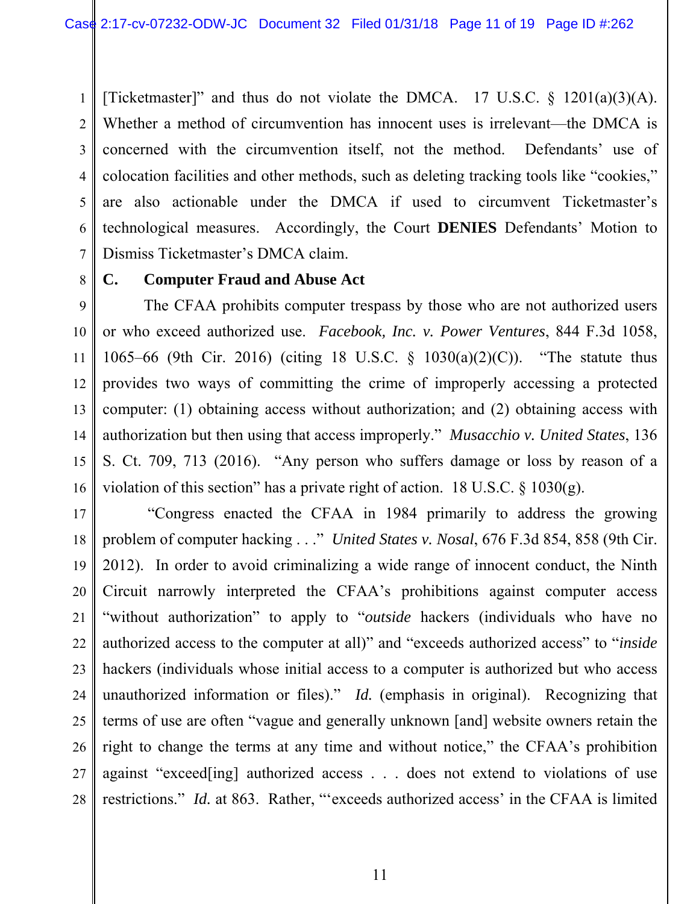1 2 3 4 5 6 7 [Ticketmaster]" and thus do not violate the DMCA. 17 U.S.C. § 1201(a)(3)(A). Whether a method of circumvention has innocent uses is irrelevant—the DMCA is concerned with the circumvention itself, not the method. Defendants' use of colocation facilities and other methods, such as deleting tracking tools like "cookies," are also actionable under the DMCA if used to circumvent Ticketmaster's technological measures. Accordingly, the Court **DENIES** Defendants' Motion to Dismiss Ticketmaster's DMCA claim.

8

9

10

11

12

13

14

15

16

#### **C. Computer Fraud and Abuse Act**

The CFAA prohibits computer trespass by those who are not authorized users or who exceed authorized use. *Facebook, Inc. v. Power Ventures*, 844 F.3d 1058, 1065–66 (9th Cir. 2016) (citing 18 U.S.C. § 1030(a)(2)(C)). "The statute thus provides two ways of committing the crime of improperly accessing a protected computer: (1) obtaining access without authorization; and (2) obtaining access with authorization but then using that access improperly." *Musacchio v. United States*, 136 S. Ct. 709, 713 (2016). "Any person who suffers damage or loss by reason of a violation of this section" has a private right of action. 18 U.S.C. § 1030(g).

17 18 19 20 21 22 23 24 25 26 27 28 "Congress enacted the CFAA in 1984 primarily to address the growing problem of computer hacking . . ." *United States v. Nosal*, 676 F.3d 854, 858 (9th Cir. 2012). In order to avoid criminalizing a wide range of innocent conduct, the Ninth Circuit narrowly interpreted the CFAA's prohibitions against computer access "without authorization" to apply to "*outside* hackers (individuals who have no authorized access to the computer at all)" and "exceeds authorized access" to "*inside*  hackers (individuals whose initial access to a computer is authorized but who access unauthorized information or files)." *Id.* (emphasis in original). Recognizing that terms of use are often "vague and generally unknown [and] website owners retain the right to change the terms at any time and without notice," the CFAA's prohibition against "exceed[ing] authorized access . . . does not extend to violations of use restrictions." *Id.* at 863. Rather, "'exceeds authorized access' in the CFAA is limited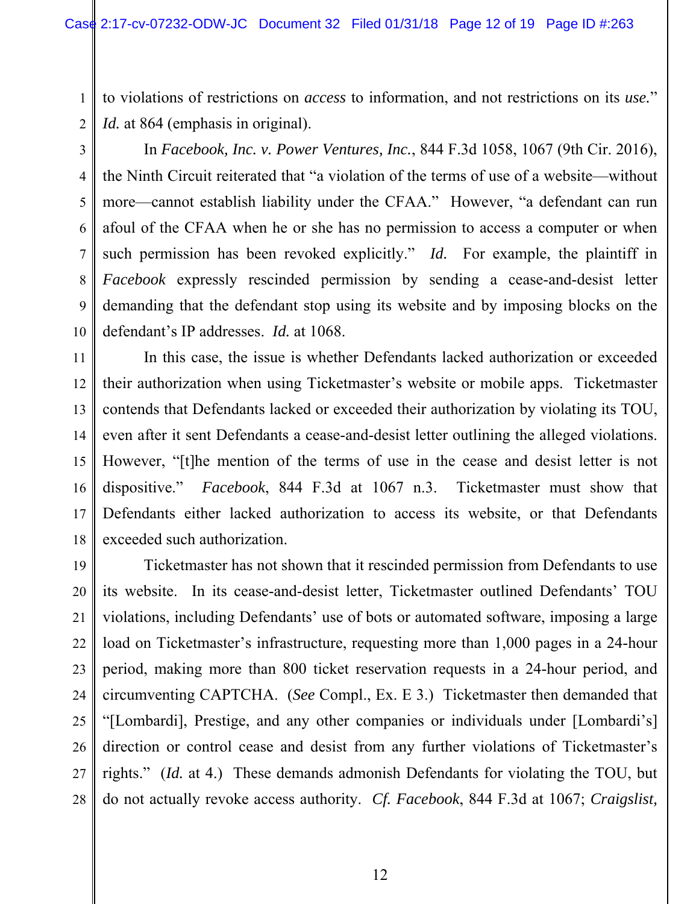to violations of restrictions on *access* to information, and not restrictions on its *use.*" *Id.* at 864 (emphasis in original).

2 3

4

5

6

7

8

9

10

1

In *Facebook, Inc. v. Power Ventures, Inc.*, 844 F.3d 1058, 1067 (9th Cir. 2016), the Ninth Circuit reiterated that "a violation of the terms of use of a website—without more—cannot establish liability under the CFAA." However, "a defendant can run afoul of the CFAA when he or she has no permission to access a computer or when such permission has been revoked explicitly." *Id.* For example, the plaintiff in *Facebook* expressly rescinded permission by sending a cease-and-desist letter demanding that the defendant stop using its website and by imposing blocks on the defendant's IP addresses. *Id.* at 1068.

11 12 13 14 15 16 17 18 In this case, the issue is whether Defendants lacked authorization or exceeded their authorization when using Ticketmaster's website or mobile apps. Ticketmaster contends that Defendants lacked or exceeded their authorization by violating its TOU, even after it sent Defendants a cease-and-desist letter outlining the alleged violations. However, "[t]he mention of the terms of use in the cease and desist letter is not dispositive." *Facebook*, 844 F.3d at 1067 n.3. Ticketmaster must show that Defendants either lacked authorization to access its website, or that Defendants exceeded such authorization.

19 20 21 22 23 24 25 26 27 28 Ticketmaster has not shown that it rescinded permission from Defendants to use its website. In its cease-and-desist letter, Ticketmaster outlined Defendants' TOU violations, including Defendants' use of bots or automated software, imposing a large load on Ticketmaster's infrastructure, requesting more than 1,000 pages in a 24-hour period, making more than 800 ticket reservation requests in a 24-hour period, and circumventing CAPTCHA. (*See* Compl., Ex. E 3.) Ticketmaster then demanded that "[Lombardi], Prestige, and any other companies or individuals under [Lombardi's] direction or control cease and desist from any further violations of Ticketmaster's rights." (*Id.* at 4.) These demands admonish Defendants for violating the TOU, but do not actually revoke access authority. *Cf. Facebook*, 844 F.3d at 1067; *Craigslist,*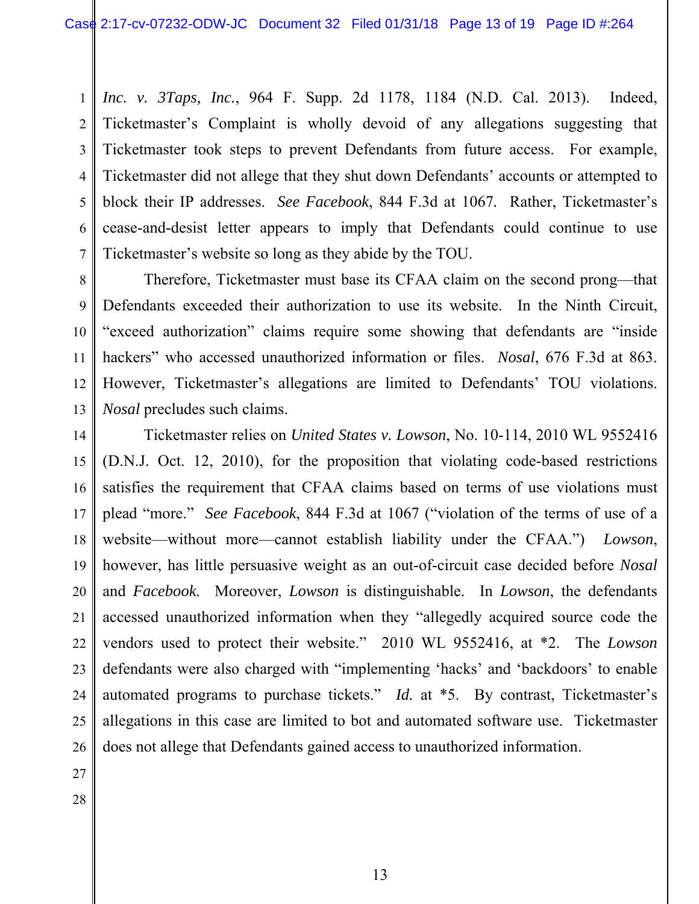1 2 3 4 5 6 7 *Inc. v. 3Taps, Inc.*, 964 F. Supp. 2d 1178, 1184 (N.D. Cal. 2013). Indeed, Ticketmaster's Complaint is wholly devoid of any allegations suggesting that Ticketmaster took steps to prevent Defendants from future access. For example, Ticketmaster did not allege that they shut down Defendants' accounts or attempted to block their IP addresses. *See Facebook*, 844 F.3d at 1067*.* Rather, Ticketmaster's cease-and-desist letter appears to imply that Defendants could continue to use Ticketmaster's website so long as they abide by the TOU.

8 9 10 11 12 13 Therefore, Ticketmaster must base its CFAA claim on the second prong—that Defendants exceeded their authorization to use its website. In the Ninth Circuit, "exceed authorization" claims require some showing that defendants are "inside hackers" who accessed unauthorized information or files. *Nosal*, 676 F.3d at 863. However, Ticketmaster's allegations are limited to Defendants' TOU violations. *Nosal* precludes such claims.

14 15 16 17 18 19 20 21 22 23 24 25 26 Ticketmaster relies on *United States v. Lowson*, No. 10-114, 2010 WL 9552416 (D.N.J. Oct. 12, 2010), for the proposition that violating code-based restrictions satisfies the requirement that CFAA claims based on terms of use violations must plead "more." *See Facebook*, 844 F.3d at 1067 ("violation of the terms of use of a website—without more—cannot establish liability under the CFAA.") *Lowson*, however, has little persuasive weight as an out-of-circuit case decided before *Nosal* and *Facebook*. Moreover, *Lowson* is distinguishable. In *Lowson*, the defendants accessed unauthorized information when they "allegedly acquired source code the vendors used to protect their website." 2010 WL 9552416, at \*2. The *Lowson* defendants were also charged with "implementing 'hacks' and 'backdoors' to enable automated programs to purchase tickets." *Id.* at \*5. By contrast, Ticketmaster's allegations in this case are limited to bot and automated software use. Ticketmaster does not allege that Defendants gained access to unauthorized information.

27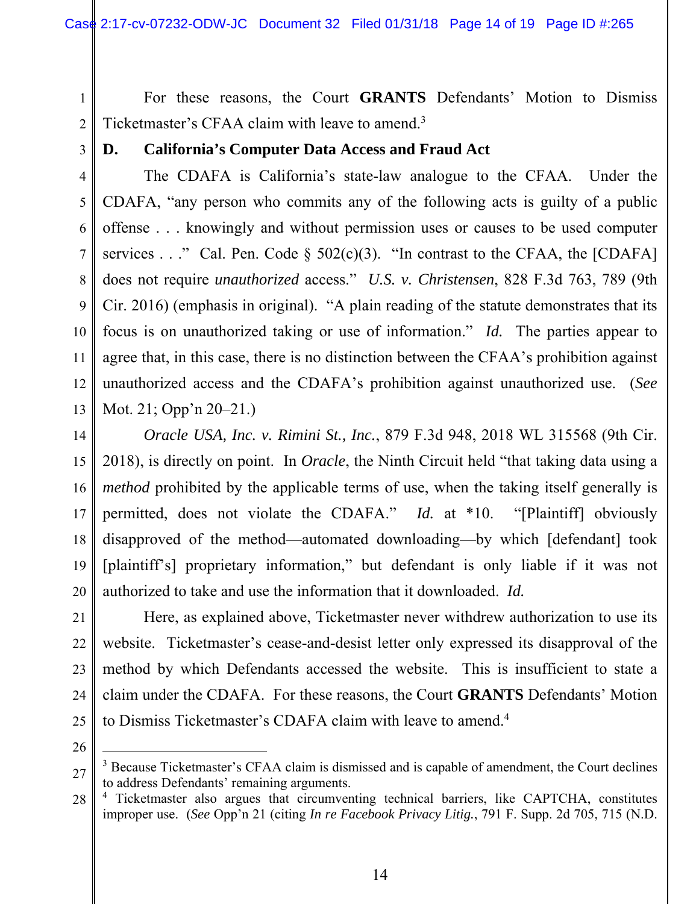For these reasons, the Court **GRANTS** Defendants' Motion to Dismiss Ticketmaster's CFAA claim with leave to amend.<sup>3</sup>

3

4

5

6

7

8

9

10

11

12

13

1

2

#### **D. California's Computer Data Access and Fraud Act**

The CDAFA is California's state-law analogue to the CFAA. Under the CDAFA, "any person who commits any of the following acts is guilty of a public offense . . . knowingly and without permission uses or causes to be used computer services . . ." Cal. Pen. Code  $\S$  502(c)(3). "In contrast to the CFAA, the [CDAFA] does not require *unauthorized* access." *U.S. v. Christensen*, 828 F.3d 763, 789 (9th Cir. 2016) (emphasis in original). "A plain reading of the statute demonstrates that its focus is on unauthorized taking or use of information." *Id.* The parties appear to agree that, in this case, there is no distinction between the CFAA's prohibition against unauthorized access and the CDAFA's prohibition against unauthorized use. (*See* Mot. 21; Opp'n 20–21.)

14 15 16 17 18 19 20 *Oracle USA, Inc. v. Rimini St., Inc.*, 879 F.3d 948, 2018 WL 315568 (9th Cir. 2018), is directly on point. In *Oracle*, the Ninth Circuit held "that taking data using a *method* prohibited by the applicable terms of use, when the taking itself generally is permitted, does not violate the CDAFA." *Id.* at \*10. "[Plaintiff] obviously disapproved of the method—automated downloading—by which [defendant] took [plaintiff's] proprietary information," but defendant is only liable if it was not authorized to take and use the information that it downloaded. *Id.*

Here, as explained above, Ticketmaster never withdrew authorization to use its website. Ticketmaster's cease-and-desist letter only expressed its disapproval of the method by which Defendants accessed the website. This is insufficient to state a claim under the CDAFA. For these reasons, the Court **GRANTS** Defendants' Motion to Dismiss Ticketmaster's CDAFA claim with leave to amend.4

26 27

 $\overline{a}$ 

21

22

23

24

<sup>&</sup>lt;sup>3</sup> Because Ticketmaster's CFAA claim is dismissed and is capable of amendment, the Court declines to address Defendants' remaining arguments.

<sup>28</sup> <sup>4</sup> Ticketmaster also argues that circumventing technical barriers, like CAPTCHA, constitutes improper use. (*See* Opp'n 21 (citing *In re Facebook Privacy Litig.*, 791 F. Supp. 2d 705, 715 (N.D.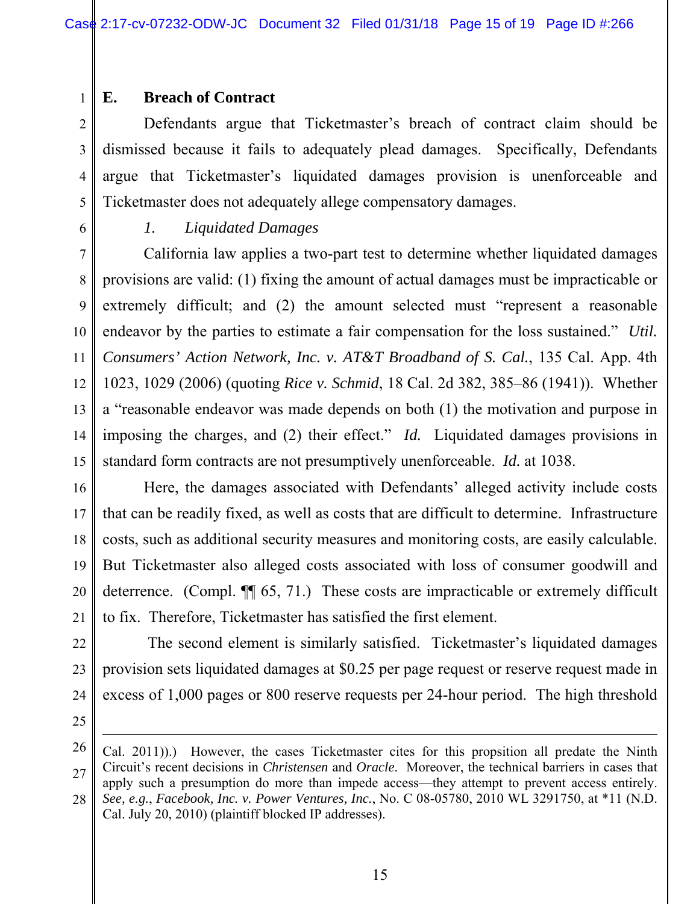#### **E. Breach of Contract**

Defendants argue that Ticketmaster's breach of contract claim should be dismissed because it fails to adequately plead damages. Specifically, Defendants argue that Ticketmaster's liquidated damages provision is unenforceable and Ticketmaster does not adequately allege compensatory damages.

5 6

7

8

9

10

11

12

13

14

15

17

20

21

22

23

24

1

2

3

4

# *1. Liquidated Damages*

California law applies a two-part test to determine whether liquidated damages provisions are valid: (1) fixing the amount of actual damages must be impracticable or extremely difficult; and (2) the amount selected must "represent a reasonable endeavor by the parties to estimate a fair compensation for the loss sustained." *Util. Consumers' Action Network, Inc. v. AT&T Broadband of S. Cal.*, 135 Cal. App. 4th 1023, 1029 (2006) (quoting *Rice v. Schmid*, 18 Cal. 2d 382, 385–86 (1941)). Whether a "reasonable endeavor was made depends on both (1) the motivation and purpose in imposing the charges, and (2) their effect." *Id.* Liquidated damages provisions in standard form contracts are not presumptively unenforceable. *Id.* at 1038.

16 18 19 Here, the damages associated with Defendants' alleged activity include costs that can be readily fixed, as well as costs that are difficult to determine. Infrastructure costs, such as additional security measures and monitoring costs, are easily calculable. But Ticketmaster also alleged costs associated with loss of consumer goodwill and deterrence. (Compl. ¶¶ 65, 71.) These costs are impracticable or extremely difficult to fix. Therefore, Ticketmaster has satisfied the first element.

 The second element is similarly satisfied. Ticketmaster's liquidated damages provision sets liquidated damages at \$0.25 per page request or reserve request made in excess of 1,000 pages or 800 reserve requests per 24-hour period. The high threshold

25

 $\overline{a}$ 

<sup>26</sup> 27 28 Cal. 2011)).) However, the cases Ticketmaster cites for this propsition all predate the Ninth Circuit's recent decisions in *Christensen* and *Oracle*. Moreover, the technical barriers in cases that apply such a presumption do more than impede access—they attempt to prevent access entirely. *See, e.g.*, *Facebook, Inc. v. Power Ventures, Inc.*, No. C 08-05780, 2010 WL 3291750, at \*11 (N.D. Cal. July 20, 2010) (plaintiff blocked IP addresses).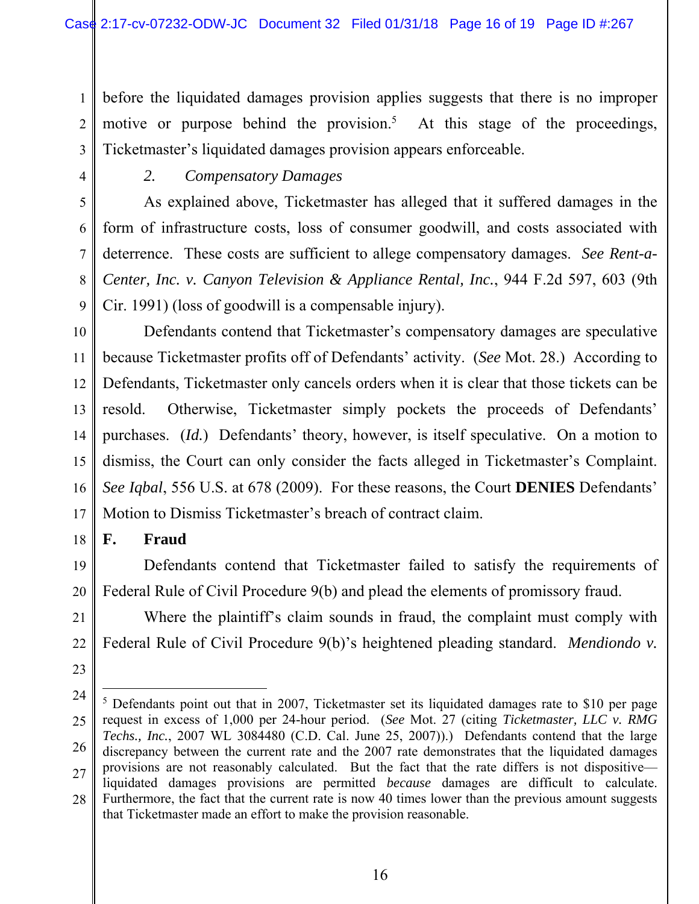before the liquidated damages provision applies suggests that there is no improper motive or purpose behind the provision.<sup>5</sup> At this stage of the proceedings, Ticketmaster's liquidated damages provision appears enforceable.

1

2

3

4

5

6

7

8

9

18

21

22

23

### *2. Compensatory Damages*

As explained above, Ticketmaster has alleged that it suffered damages in the form of infrastructure costs, loss of consumer goodwill, and costs associated with deterrence. These costs are sufficient to allege compensatory damages. *See Rent-a-Center, Inc. v. Canyon Television & Appliance Rental, Inc.*, 944 F.2d 597, 603 (9th Cir. 1991) (loss of goodwill is a compensable injury).

10 11 12 13 14 15 16 17 Defendants contend that Ticketmaster's compensatory damages are speculative because Ticketmaster profits off of Defendants' activity. (*See* Mot. 28.) According to Defendants, Ticketmaster only cancels orders when it is clear that those tickets can be resold. Otherwise, Ticketmaster simply pockets the proceeds of Defendants' purchases. (*Id.*) Defendants' theory, however, is itself speculative. On a motion to dismiss, the Court can only consider the facts alleged in Ticketmaster's Complaint. *See Iqbal*, 556 U.S. at 678 (2009). For these reasons, the Court **DENIES** Defendants' Motion to Dismiss Ticketmaster's breach of contract claim.

#### **F. Fraud**

19 20 Defendants contend that Ticketmaster failed to satisfy the requirements of Federal Rule of Civil Procedure 9(b) and plead the elements of promissory fraud.

Where the plaintiff's claim sounds in fraud, the complaint must comply with Federal Rule of Civil Procedure 9(b)'s heightened pleading standard. *Mendiondo v.* 

<sup>24</sup> 25 26 27 28 -<sup>5</sup> Defendants point out that in 2007, Ticketmaster set its liquidated damages rate to \$10 per page request in excess of 1,000 per 24-hour period. (*See* Mot. 27 (citing *Ticketmaster, LLC v. RMG Techs., Inc.*, 2007 WL 3084480 (C.D. Cal. June 25, 2007)).) Defendants contend that the large discrepancy between the current rate and the 2007 rate demonstrates that the liquidated damages provisions are not reasonably calculated. But the fact that the rate differs is not dispositive liquidated damages provisions are permitted *because* damages are difficult to calculate. Furthermore, the fact that the current rate is now 40 times lower than the previous amount suggests that Ticketmaster made an effort to make the provision reasonable.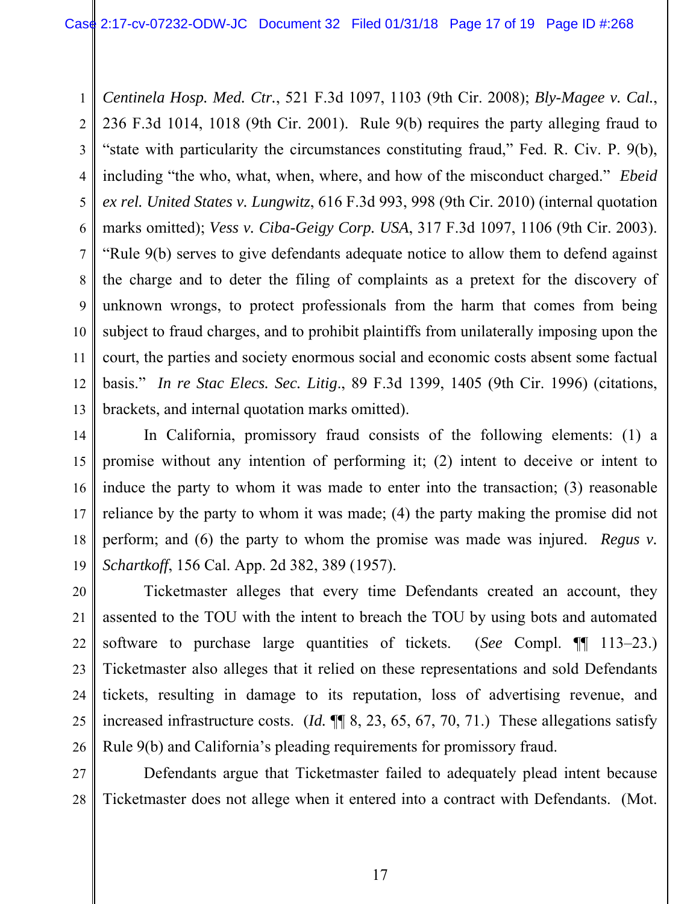1 2 3 4 5 6 7 8 9 10 11 12 13 *Centinela Hosp. Med. Ctr.*, 521 F.3d 1097, 1103 (9th Cir. 2008); *Bly-Magee v. Cal.*, 236 F.3d 1014, 1018 (9th Cir. 2001). Rule 9(b) requires the party alleging fraud to "state with particularity the circumstances constituting fraud," Fed. R. Civ. P. 9(b), including "the who, what, when, where, and how of the misconduct charged." *Ebeid ex rel. United States v. Lungwitz*, 616 F.3d 993, 998 (9th Cir. 2010) (internal quotation marks omitted); *Vess v. Ciba-Geigy Corp. USA*, 317 F.3d 1097, 1106 (9th Cir. 2003). "Rule 9(b) serves to give defendants adequate notice to allow them to defend against the charge and to deter the filing of complaints as a pretext for the discovery of unknown wrongs, to protect professionals from the harm that comes from being subject to fraud charges, and to prohibit plaintiffs from unilaterally imposing upon the court, the parties and society enormous social and economic costs absent some factual basis." *In re Stac Elecs. Sec. Litig*., 89 F.3d 1399, 1405 (9th Cir. 1996) (citations, brackets, and internal quotation marks omitted).

14 19 In California, promissory fraud consists of the following elements: (1) a promise without any intention of performing it; (2) intent to deceive or intent to induce the party to whom it was made to enter into the transaction; (3) reasonable reliance by the party to whom it was made; (4) the party making the promise did not perform; and (6) the party to whom the promise was made was injured. *Regus v. Schartkoff*, 156 Cal. App. 2d 382, 389 (1957).

15

16

17

18

21

22

23

24

26

20 25 Ticketmaster alleges that every time Defendants created an account, they assented to the TOU with the intent to breach the TOU by using bots and automated software to purchase large quantities of tickets. (*See* Compl. ¶¶ 113–23.) Ticketmaster also alleges that it relied on these representations and sold Defendants tickets, resulting in damage to its reputation, loss of advertising revenue, and increased infrastructure costs. (*Id.* ¶¶ 8, 23, 65, 67, 70, 71.) These allegations satisfy Rule 9(b) and California's pleading requirements for promissory fraud.

27 28 Defendants argue that Ticketmaster failed to adequately plead intent because Ticketmaster does not allege when it entered into a contract with Defendants. (Mot.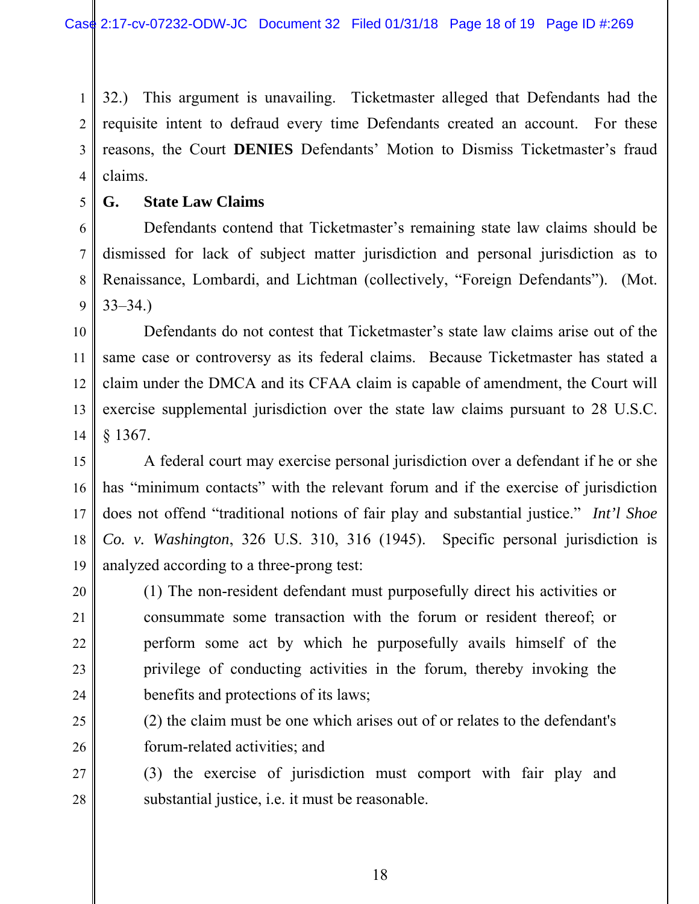1 2 3 4 32.) This argument is unavailing. Ticketmaster alleged that Defendants had the requisite intent to defraud every time Defendants created an account. For these reasons, the Court **DENIES** Defendants' Motion to Dismiss Ticketmaster's fraud claims.

20

21

22

23

24

25

26

#### **G. State Law Claims**

Defendants contend that Ticketmaster's remaining state law claims should be dismissed for lack of subject matter jurisdiction and personal jurisdiction as to Renaissance, Lombardi, and Lichtman (collectively, "Foreign Defendants"). (Mot. 33–34.)

10 11 12 13 14 Defendants do not contest that Ticketmaster's state law claims arise out of the same case or controversy as its federal claims. Because Ticketmaster has stated a claim under the DMCA and its CFAA claim is capable of amendment, the Court will exercise supplemental jurisdiction over the state law claims pursuant to 28 U.S.C. § 1367.

15 16 17 18 19 A federal court may exercise personal jurisdiction over a defendant if he or she has "minimum contacts" with the relevant forum and if the exercise of jurisdiction does not offend "traditional notions of fair play and substantial justice." *Int'l Shoe Co. v. Washington*, 326 U.S. 310, 316 (1945). Specific personal jurisdiction is analyzed according to a three-prong test:

(1) The non-resident defendant must purposefully direct his activities or consummate some transaction with the forum or resident thereof; or perform some act by which he purposefully avails himself of the privilege of conducting activities in the forum, thereby invoking the benefits and protections of its laws;

(2) the claim must be one which arises out of or relates to the defendant's forum-related activities; and

27 28 (3) the exercise of jurisdiction must comport with fair play and substantial justice, i.e. it must be reasonable.